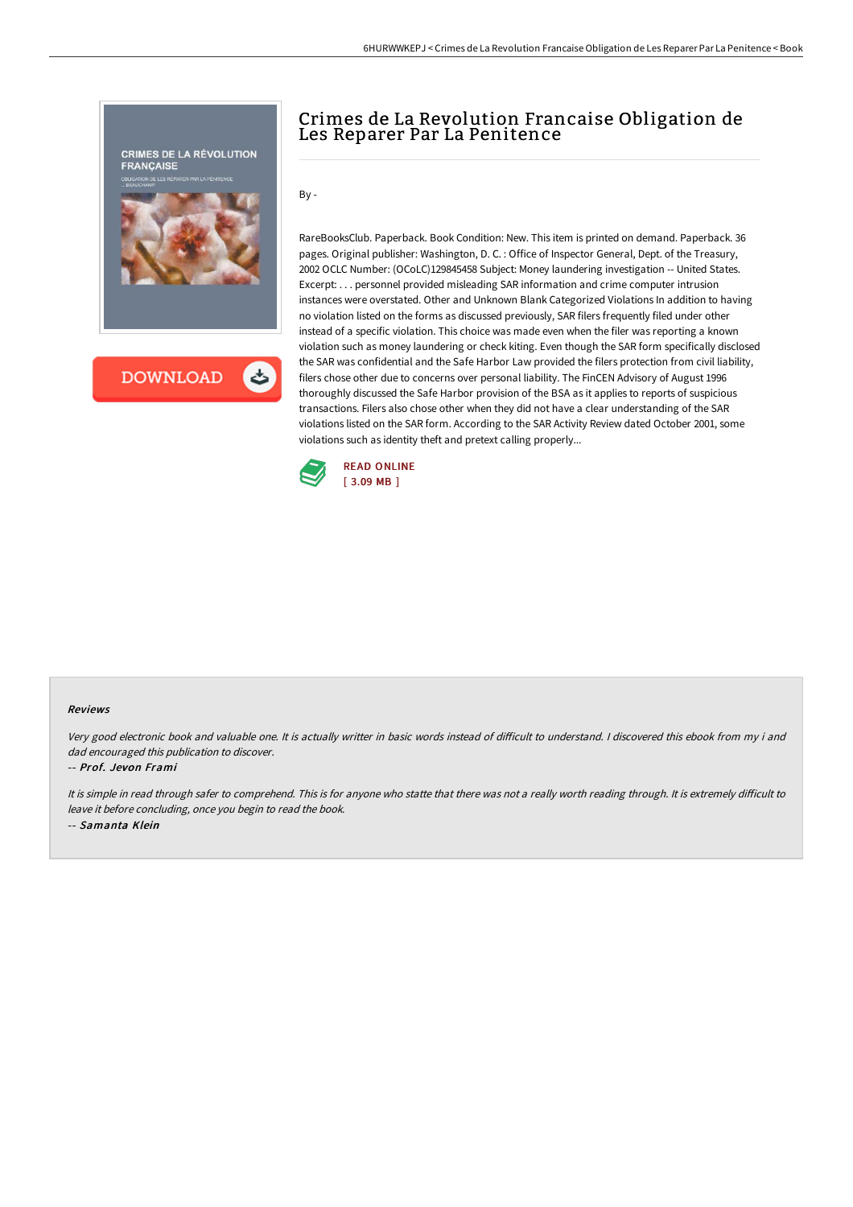

# Crimes de La Revolution Francaise Obligation de Les Reparer Par La Penitence

By -

RareBooksClub. Paperback. Book Condition: New. This item is printed on demand. Paperback. 36 pages. Original publisher: Washington, D. C. : Office of Inspector General, Dept. of the Treasury, 2002 OCLC Number: (OCoLC)129845458 Subject: Money laundering investigation -- United States. Excerpt: . . . personnel provided misleading SAR information and crime computer intrusion instances were overstated. Other and Unknown Blank Categorized Violations In addition to having no violation listed on the forms as discussed previously, SAR filers frequently filed under other instead of a specific violation. This choice was made even when the filer was reporting a known violation such as money laundering or check kiting. Even though the SAR form specifically disclosed the SAR was confidential and the Safe Harbor Law provided the filers protection from civil liability, filers chose other due to concerns over personal liability. The FinCEN Advisory of August 1996 thoroughly discussed the Safe Harbor provision of the BSA as it applies to reports of suspicious transactions. Filers also chose other when they did not have a clear understanding of the SAR violations listed on the SAR form. According to the SAR Activity Review dated October 2001, some violations such as identity theft and pretext calling properly...



#### Reviews

Very good electronic book and valuable one. It is actually writter in basic words instead of difficult to understand. I discovered this ebook from my i and dad encouraged this publication to discover.

### -- Prof. Jevon Frami

It is simple in read through safer to comprehend. This is for anyone who statte that there was not a really worth reading through. It is extremely difficult to leave it before concluding, once you begin to read the book. -- Samanta Klein